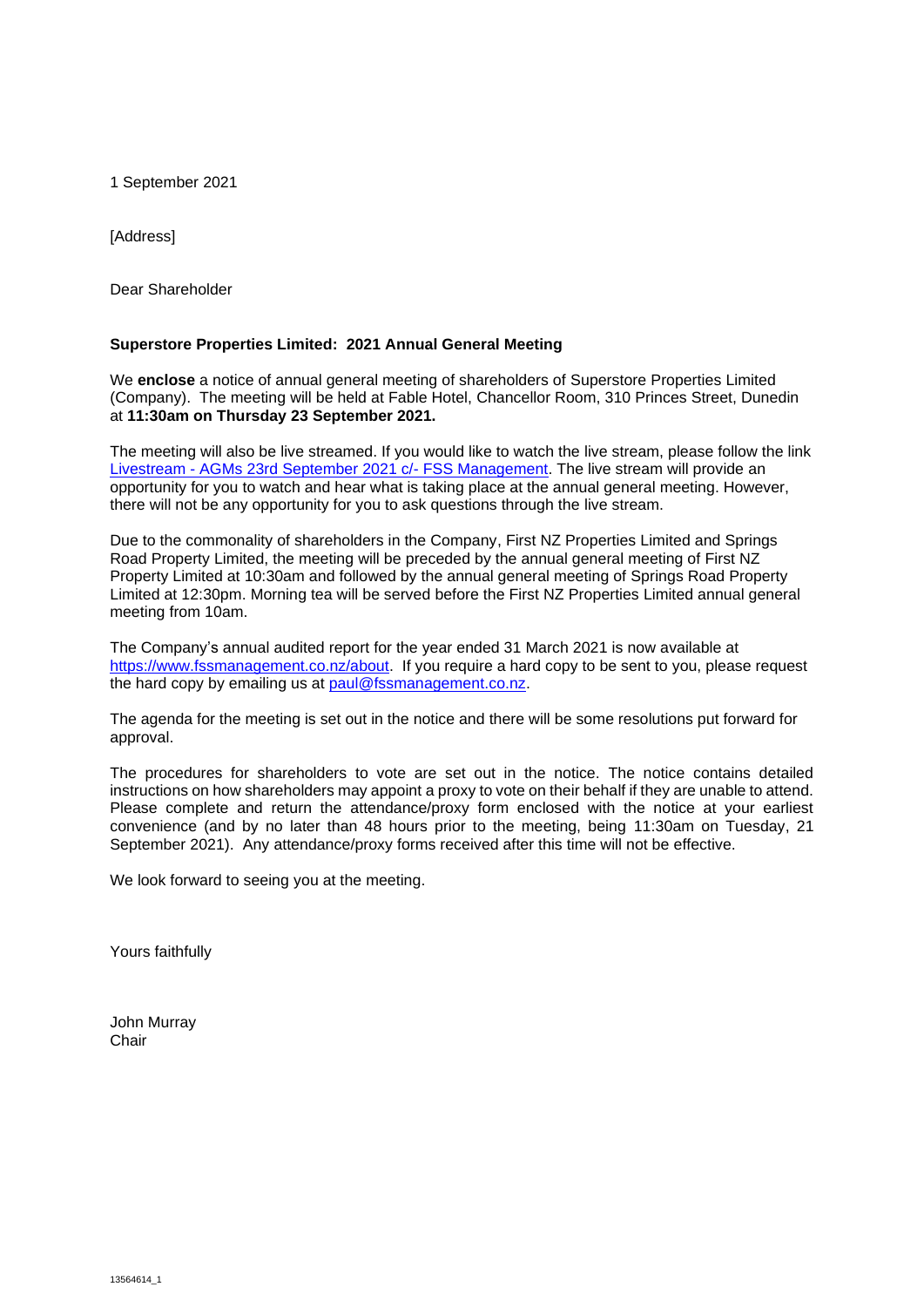1 September 2021

[Address]

Dear Shareholder

### **Superstore Properties Limited: 2021 Annual General Meeting**

We **enclose** a notice of annual general meeting of shareholders of Superstore Properties Limited (Company). The meeting will be held at Fable Hotel, Chancellor Room, 310 Princes Street, Dunedin at **11:30am on Thursday 23 September 2021.**

The meeting will also be live streamed. If you would like to watch the live stream, please follow the link Livestream - [AGMs 23rd September 2021 c/-](https://youtu.be/FaZxUT3HjLA) FSS Management. The live stream will provide an opportunity for you to watch and hear what is taking place at the annual general meeting. However, there will not be any opportunity for you to ask questions through the live stream.

Due to the commonality of shareholders in the Company, First NZ Properties Limited and Springs Road Property Limited, the meeting will be preceded by the annual general meeting of First NZ Property Limited at 10:30am and followed by the annual general meeting of Springs Road Property Limited at 12:30pm. Morning tea will be served before the First NZ Properties Limited annual general meeting from 10am.

The Company's annual audited report for the year ended 31 March 2021 is now available at https://www.fssmanagement.co.nz/about. If you require a hard copy to be sent to you, please request the hard copy by emailing us at [paul@fssmanagement.co.nz.](mailto:paul@fssmanagement.co.nz)

The agenda for the meeting is set out in the notice and there will be some resolutions put forward for approval.

The procedures for shareholders to vote are set out in the notice. The notice contains detailed instructions on how shareholders may appoint a proxy to vote on their behalf if they are unable to attend. Please complete and return the attendance/proxy form enclosed with the notice at your earliest convenience (and by no later than 48 hours prior to the meeting, being 11:30am on Tuesday, 21 September 2021). Any attendance/proxy forms received after this time will not be effective.

We look forward to seeing you at the meeting.

Yours faithfully

John Murray **Chair**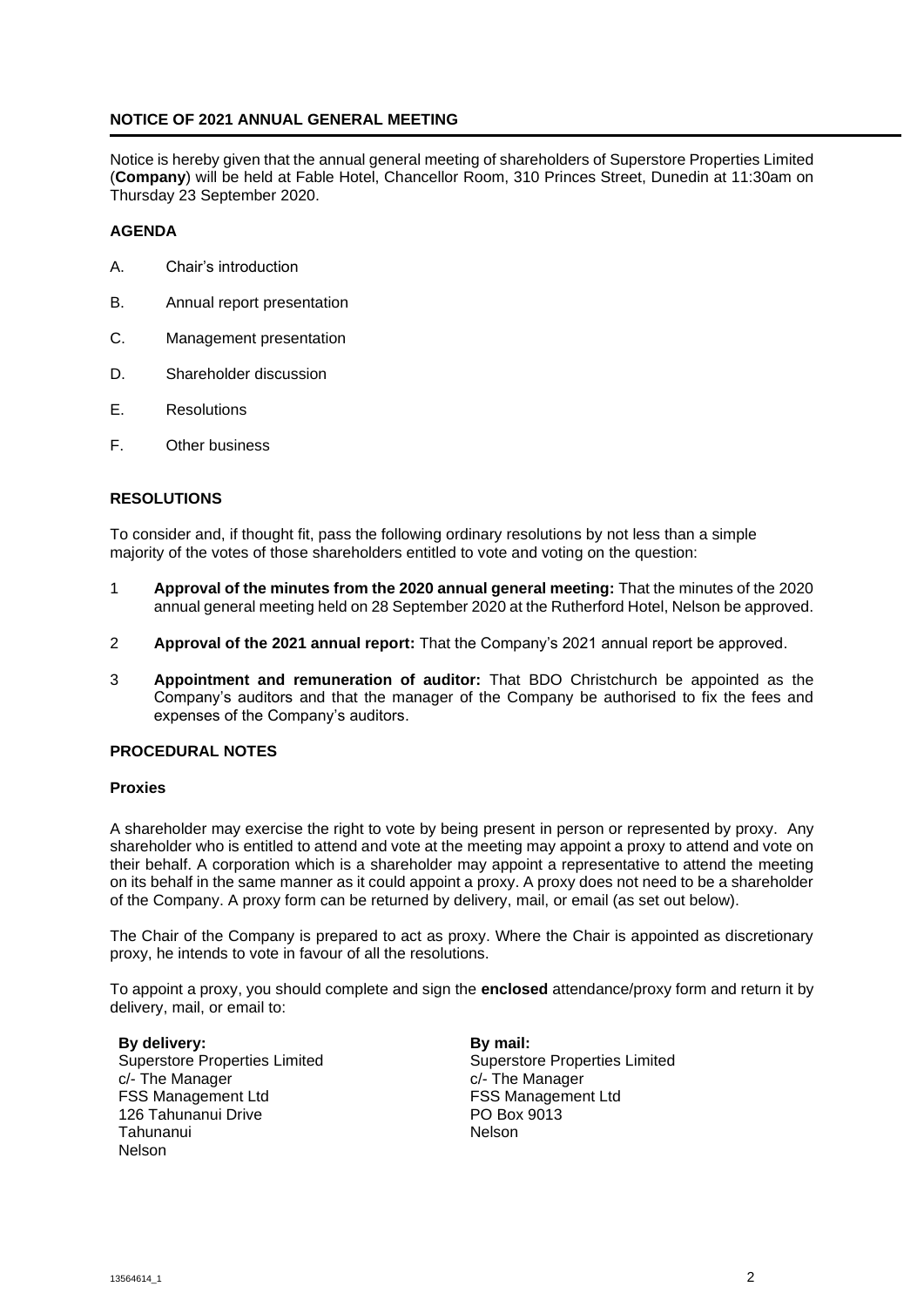## **NOTICE OF 2021 ANNUAL GENERAL MEETING**

Notice is hereby given that the annual general meeting of shareholders of Superstore Properties Limited (**Company**) will be held at Fable Hotel, Chancellor Room, 310 Princes Street, Dunedin at 11:30am on Thursday 23 September 2020.

## **AGENDA**

- A. Chair's introduction
- B. Annual report presentation
- C. Management presentation
- D. Shareholder discussion
- E. Resolutions
- F. Other business

## **RESOLUTIONS**

To consider and, if thought fit, pass the following ordinary resolutions by not less than a simple majority of the votes of those shareholders entitled to vote and voting on the question:

- 1 **Approval of the minutes from the 2020 annual general meeting:** That the minutes of the 2020 annual general meeting held on 28 September 2020 at the Rutherford Hotel, Nelson be approved.
- 2 **Approval of the 2021 annual report:** That the Company's 2021 annual report be approved.
- 3 **Appointment and remuneration of auditor:** That BDO Christchurch be appointed as the Company's auditors and that the manager of the Company be authorised to fix the fees and expenses of the Company's auditors.

### **PROCEDURAL NOTES**

### **Proxies**

A shareholder may exercise the right to vote by being present in person or represented by proxy. Any shareholder who is entitled to attend and vote at the meeting may appoint a proxy to attend and vote on their behalf. A corporation which is a shareholder may appoint a representative to attend the meeting on its behalf in the same manner as it could appoint a proxy. A proxy does not need to be a shareholder of the Company. A proxy form can be returned by delivery, mail, or email (as set out below).

The Chair of the Company is prepared to act as proxy. Where the Chair is appointed as discretionary proxy, he intends to vote in favour of all the resolutions.

To appoint a proxy, you should complete and sign the **enclosed** attendance/proxy form and return it by delivery, mail, or email to:

**By delivery:** Superstore Properties Limited c/- The Manager FSS Management Ltd 126 Tahunanui Drive Tahunanui Nelson

**By mail:** Superstore Properties Limited c/- The Manager FSS Management Ltd PO Box 9013 Nelson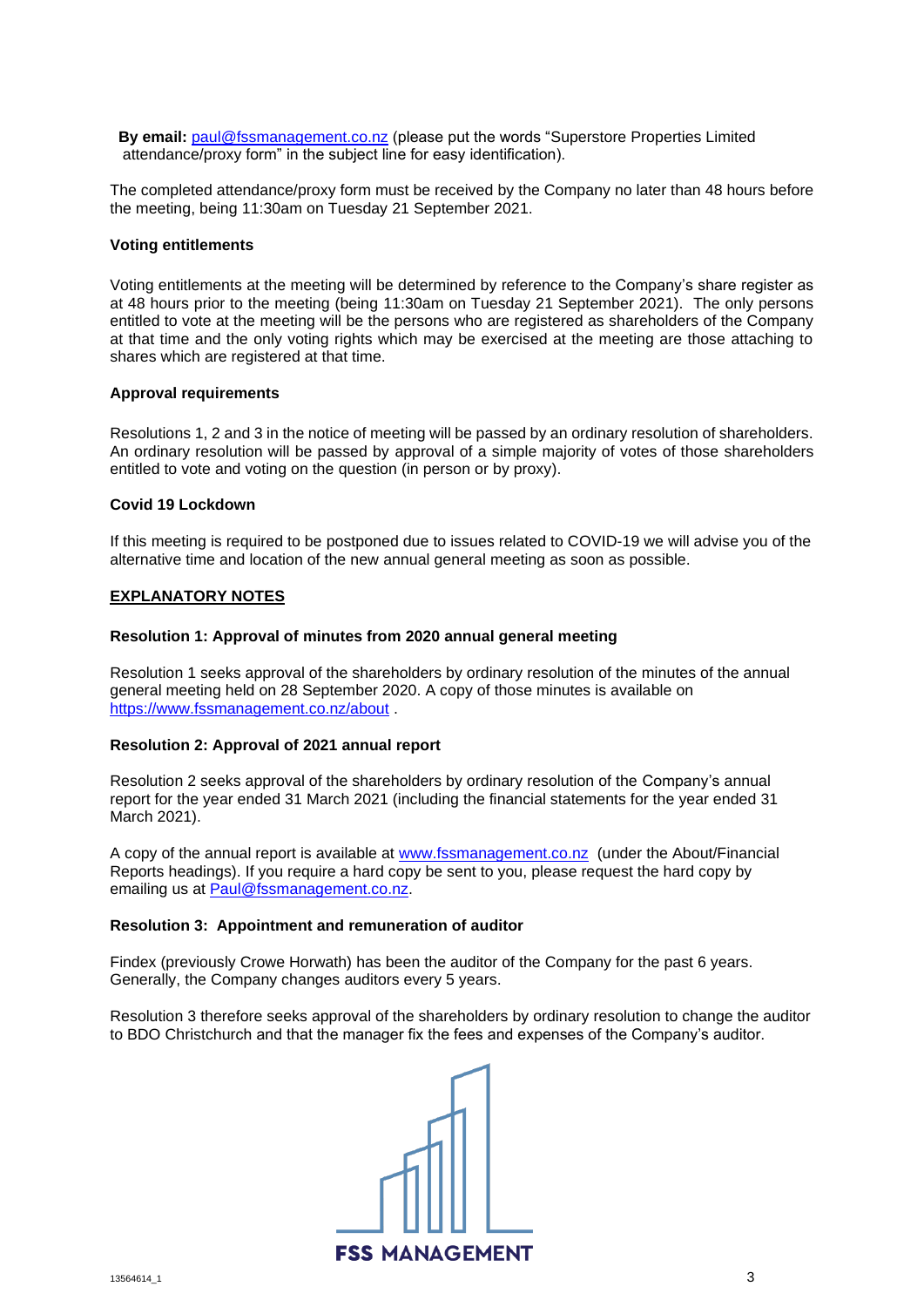**By email:** [paul@fssmanagement.co.nz](mailto:paul@fssmanagement.co.nz) (please put the words "Superstore Properties Limited attendance/proxy form" in the subject line for easy identification).

The completed attendance/proxy form must be received by the Company no later than 48 hours before the meeting, being 11:30am on Tuesday 21 September 2021.

### **Voting entitlements**

Voting entitlements at the meeting will be determined by reference to the Company's share register as at 48 hours prior to the meeting (being 11:30am on Tuesday 21 September 2021). The only persons entitled to vote at the meeting will be the persons who are registered as shareholders of the Company at that time and the only voting rights which may be exercised at the meeting are those attaching to shares which are registered at that time.

### **Approval requirements**

Resolutions 1, 2 and 3 in the notice of meeting will be passed by an ordinary resolution of shareholders. An ordinary resolution will be passed by approval of a simple majority of votes of those shareholders entitled to vote and voting on the question (in person or by proxy).

### **Covid 19 Lockdown**

If this meeting is required to be postponed due to issues related to COVID-19 we will advise you of the alternative time and location of the new annual general meeting as soon as possible.

### **EXPLANATORY NOTES**

### **Resolution 1: Approval of minutes from 2020 annual general meeting**

Resolution 1 seeks approval of the shareholders by ordinary resolution of the minutes of the annual general meeting held on 28 September 2020. A copy of those minutes is available on <https://www.fssmanagement.co.nz/about> .

### **Resolution 2: Approval of 2021 annual report**

Resolution 2 seeks approval of the shareholders by ordinary resolution of the Company's annual report for the year ended 31 March 2021 (including the financial statements for the year ended 31 March 2021).

A copy of the annual report is available at [www.fssmanagement.co.nz](http://www.fssmanagement.co.nz/) (under the About/Financial Reports headings). If you require a hard copy be sent to you, please request the hard copy by emailing us at [Paul@fssmanagement.co.nz.](mailto:Paul@fssmanagement.co.nz)

### **Resolution 3: Appointment and remuneration of auditor**

Findex (previously Crowe Horwath) has been the auditor of the Company for the past 6 years. Generally, the Company changes auditors every 5 years.

Resolution 3 therefore seeks approval of the shareholders by ordinary resolution to change the auditor to BDO Christchurch and that the manager fix the fees and expenses of the Company's auditor.

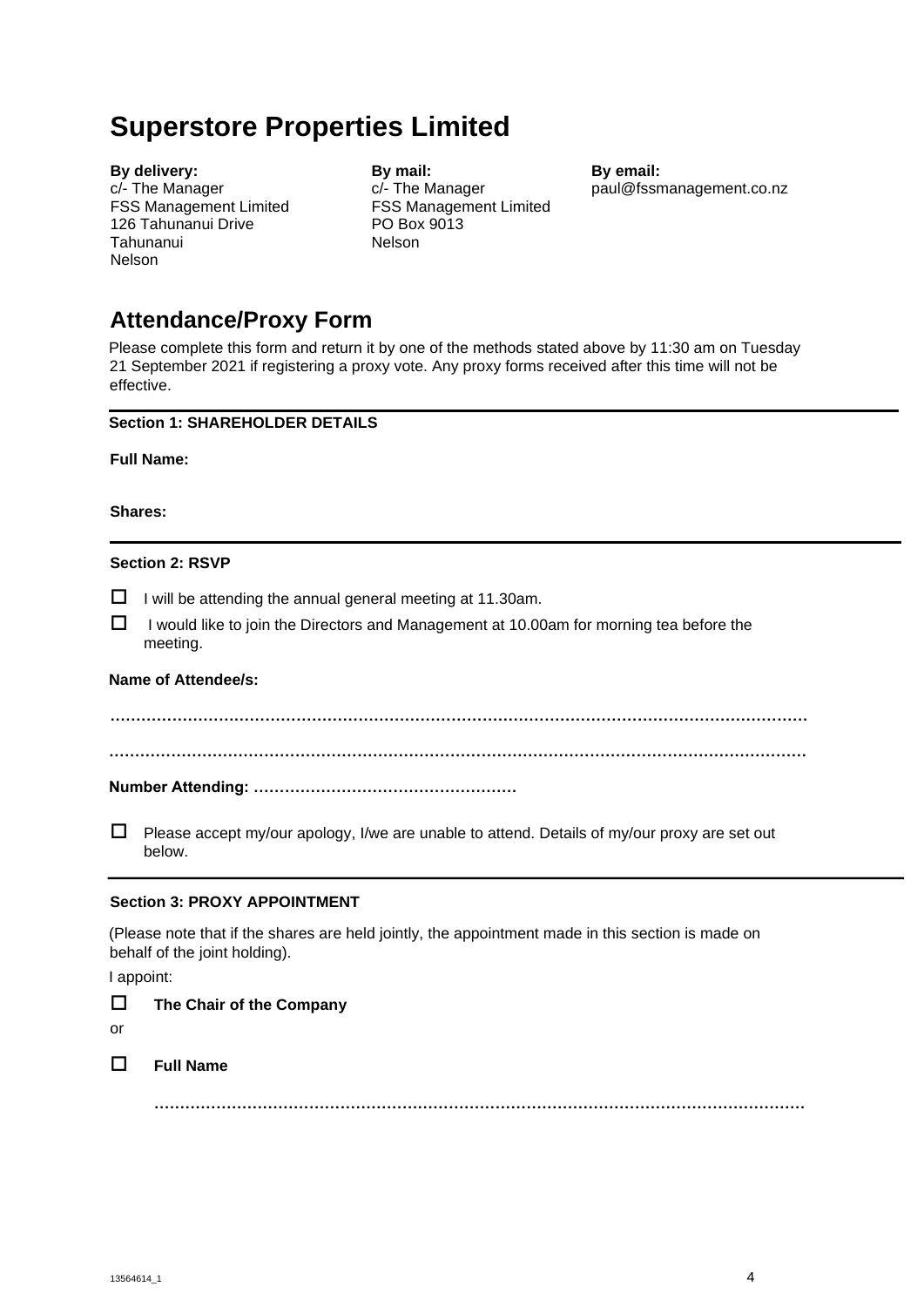# **Superstore Properties Limited**

**By delivery:** c/- The Manager FSS Management Limited 126 Tahunanui Drive Tahunanui Nelson

**By mail:** c/- The Manager FSS Management Limited PO Box 9013 Nelson

**By email:** [paul@fssmanagement.co.nz](mailto:paul@fssmanagement.co.nz)

## **Attendance/Proxy Form**

Please complete this form and return it by one of the methods stated above by 11:30 am on Tuesday 21 September 2021 if registering a proxy vote. Any proxy forms received after this time will not be effective.

## **Section 1: SHAREHOLDER DETAILS**

**Full Name:** 

**Shares:** 

## **Section 2: RSVP**

 $\Box$  I will be attending the annual general meeting at 11.30am.

 $\Box$  I would like to join the Directors and Management at 10.00am for morning tea before the meeting.

## **Name of Attendee/s:**

**……………………………………………………………………………………………………………………… ………………………………………………………………………………………………………………………** 

## **Number Attending: ……………………………………………**

 $\Box$  Please accept my/our apology, I/we are unable to attend. Details of my/our proxy are set out below.

## **Section 3: PROXY APPOINTMENT**

(Please note that if the shares are held jointly, the appointment made in this section is made on behalf of the joint holding).

I appoint:

**The Chair of the Company**

or

## **Full Name**

**………………………………………………………………………………………………………………**